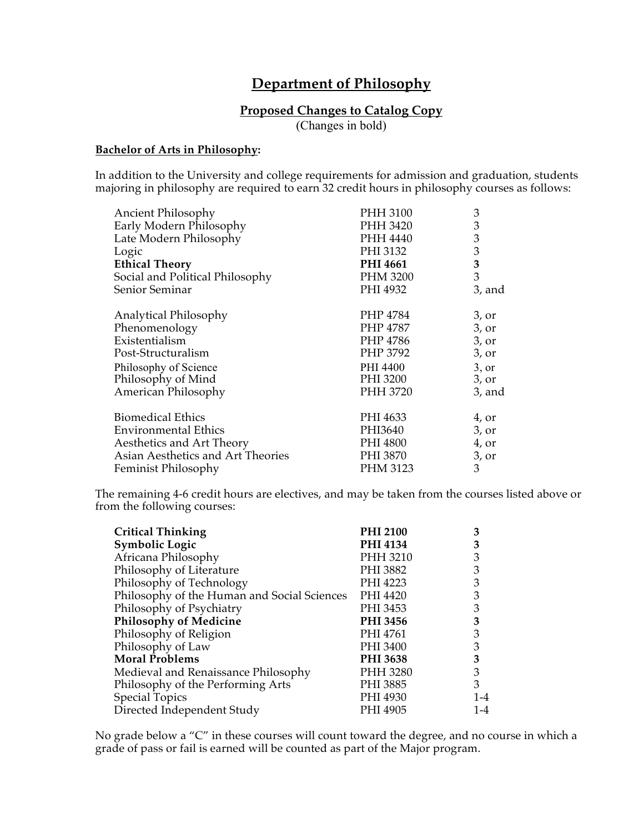# **Department of Philosophy**

## **Proposed Changes to Catalog Copy**

(Changes in bold)

#### **Bachelor of Arts in Philosophy:**

In addition to the University and college requirements for admission and graduation, students majoring in philosophy are required to earn 32 credit hours in philosophy courses as follows:

| Ancient Philosophy                | PHH 3100        | 3              |
|-----------------------------------|-----------------|----------------|
| Early Modern Philosophy           | PHH 3420        | 3              |
| Late Modern Philosophy            | PHH 4440        | $\mathfrak{Z}$ |
| Logic                             | PHI 3132        | 3              |
| <b>Ethical Theory</b>             | <b>PHI 4661</b> | $\mathbf{3}$   |
| Social and Political Philosophy   | PHM 3200        | 3              |
| Senior Seminar                    | PHI 4932        | 3, and         |
| Analytical Philosophy             | PHP 4784        | 3, or          |
| Phenomenology                     | PHP 4787        | 3, or          |
| Existentialism                    | PHP 4786        | 3, or          |
| Post-Structuralism                | PHP 3792        | 3, or          |
| Philosophy of Science             | PHI 4400        | 3, or          |
| Philosophy of Mind                | PHI 3200        | 3, or          |
| American Philosophy               | PHH 3720        | $3$ , and      |
| <b>Biomedical Ethics</b>          | PHI 4633        | 4, or          |
| <b>Environmental Ethics</b>       | PHI3640         | 3, or          |
| Aesthetics and Art Theory         | PHI 4800        | 4, or          |
| Asian Aesthetics and Art Theories | PHI 3870        | 3, or          |
| Feminist Philosophy               | PHM 3123        | 3              |

The remaining 4-6 credit hours are electives, and may be taken from the courses listed above or from the following courses:

| <b>Critical Thinking</b>                    | <b>PHI 2100</b> | З   |
|---------------------------------------------|-----------------|-----|
| <b>Symbolic Logic</b>                       | <b>PHI 4134</b> | 3   |
| Africana Philosophy                         | PHH 3210        | 3   |
| Philosophy of Literature                    | PHI 3882        | 3   |
| Philosophy of Technology                    | PHI 4223        | 3   |
| Philosophy of the Human and Social Sciences | PHI 4420        | 3   |
| Philosophy of Psychiatry                    | PHI 3453        | 3   |
| <b>Philosophy of Medicine</b>               | PHI 3456        | 3   |
| Philosophy of Religion                      | PHI 4761        | 3   |
| Philosophy of Law                           | PHI 3400        | 3   |
| <b>Moral Problems</b>                       | <b>PHI 3638</b> | 3   |
| Medieval and Renaissance Philosophy         | PHH 3280        | 3   |
| Philosophy of the Performing Arts           | PHI 3885        | 3   |
| <b>Special Topics</b>                       | PHI 4930        | 1-4 |
| Directed Independent Study                  | PHI 4905        | 1-4 |

No grade below a "C" in these courses will count toward the degree, and no course in which a grade of pass or fail is earned will be counted as part of the Major program.